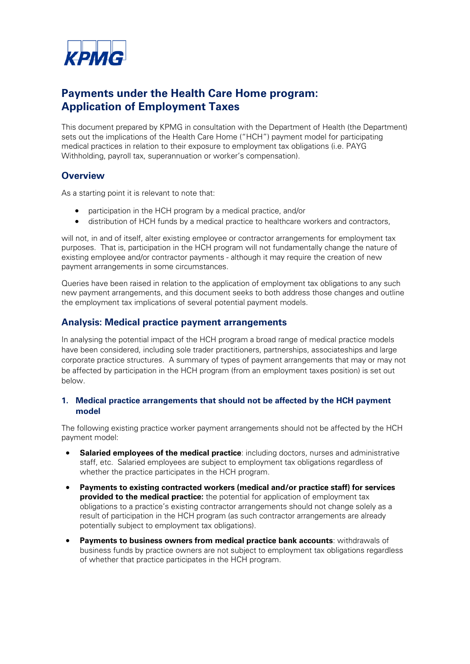

# **Payments under the Health Care Home program: Application of Employment Taxes**

This document prepared by KPMG in consultation with the Department of Health (the Department) sets out the implications of the Health Care Home ("HCH") payment model for participating medical practices in relation to their exposure to employment tax obligations (i.e. PAYG Withholding, payroll tax, superannuation or worker's compensation).

## **Overview**

As a starting point it is relevant to note that:

- participation in the HCH program by a medical practice, and/or
- distribution of HCH funds by a medical practice to healthcare workers and contractors,

will not, in and of itself, alter existing employee or contractor arrangements for employment tax purposes. That is, participation in the HCH program will not fundamentally change the nature of existing employee and/or contractor payments - although it may require the creation of new payment arrangements in some circumstances.

Queries have been raised in relation to the application of employment tax obligations to any such new payment arrangements, and this document seeks to both address those changes and outline the employment tax implications of several potential payment models.

## **Analysis: Medical practice payment arrangements**

In analysing the potential impact of the HCH program a broad range of medical practice models have been considered, including sole trader practitioners, partnerships, associateships and large corporate practice structures. A summary of types of payment arrangements that may or may not be affected by participation in the HCH program (from an employment taxes position) is set out below.

### **1. Medical practice arrangements that should not be affected by the HCH payment model**

The following existing practice worker payment arrangements should not be affected by the HCH payment model:

- **Salaried employees of the medical practice**: including doctors, nurses and administrative staff, etc. Salaried employees are subject to employment tax obligations regardless of whether the practice participates in the HCH program.
- **Payments to existing contracted workers (medical and/or practice staff) for services provided to the medical practice:** the potential for application of employment tax obligations to a practice's existing contractor arrangements should not change solely as a result of participation in the HCH program (as such contractor arrangements are already potentially subject to employment tax obligations).
- **Payments to business owners from medical practice bank accounts**: withdrawals of business funds by practice owners are not subject to employment tax obligations regardless of whether that practice participates in the HCH program.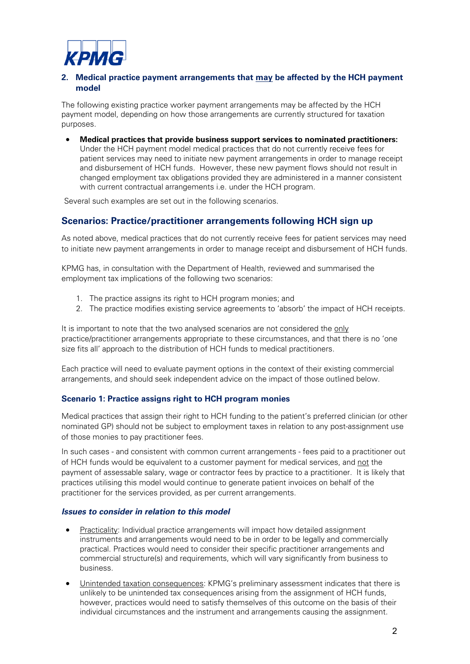

## **2. Medical practice payment arrangements that may be affected by the HCH payment model**

The following existing practice worker payment arrangements may be affected by the HCH payment model, depending on how those arrangements are currently structured for taxation purposes.

• **Medical practices that provide business support services to nominated practitioners:** Under the HCH payment model medical practices that do not currently receive fees for patient services may need to initiate new payment arrangements in order to manage receipt and disbursement of HCH funds. However, these new payment flows should not result in changed employment tax obligations provided they are administered in a manner consistent with current contractual arrangements i.e. under the HCH program.

Several such examples are set out in the following scenarios.

## **Scenarios: Practice/practitioner arrangements following HCH sign up**

As noted above, medical practices that do not currently receive fees for patient services may need to initiate new payment arrangements in order to manage receipt and disbursement of HCH funds.

KPMG has, in consultation with the Department of Health, reviewed and summarised the employment tax implications of the following two scenarios:

- 1. The practice assigns its right to HCH program monies; and
- 2. The practice modifies existing service agreements to 'absorb' the impact of HCH receipts.

It is important to note that the two analysed scenarios are not considered the only practice/practitioner arrangements appropriate to these circumstances, and that there is no 'one size fits all' approach to the distribution of HCH funds to medical practitioners.

Each practice will need to evaluate payment options in the context of their existing commercial arrangements, and should seek independent advice on the impact of those outlined below.

#### **Scenario 1: Practice assigns right to HCH program monies**

Medical practices that assign their right to HCH funding to the patient's preferred clinician (or other nominated GP) should not be subject to employment taxes in relation to any post-assignment use of those monies to pay practitioner fees.

In such cases - and consistent with common current arrangements - fees paid to a practitioner out of HCH funds would be equivalent to a customer payment for medical services, and not the payment of assessable salary, wage or contractor fees by practice to a practitioner. It is likely that practices utilising this model would continue to generate patient invoices on behalf of the practitioner for the services provided, as per current arrangements.

#### *Issues to consider in relation to this model*

- Practicality: Individual practice arrangements will impact how detailed assignment instruments and arrangements would need to be in order to be legally and commercially practical. Practices would need to consider their specific practitioner arrangements and commercial structure(s) and requirements, which will vary significantly from business to business.
- Unintended taxation consequences: KPMG's preliminary assessment indicates that there is unlikely to be unintended tax consequences arising from the assignment of HCH funds, however, practices would need to satisfy themselves of this outcome on the basis of their individual circumstances and the instrument and arrangements causing the assignment.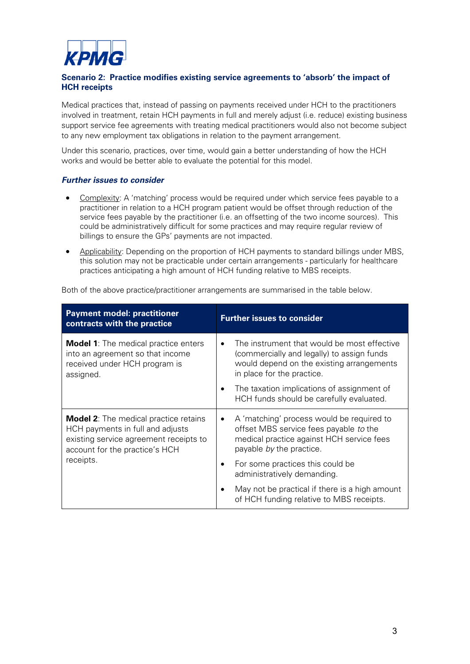

## **Scenario 2: Practice modifies existing service agreements to 'absorb' the impact of HCH receipts**

Medical practices that, instead of passing on payments received under HCH to the practitioners involved in treatment, retain HCH payments in full and merely adjust (i.e. reduce) existing business support service fee agreements with treating medical practitioners would also not become subject to any new employment tax obligations in relation to the payment arrangement.

Under this scenario, practices, over time, would gain a better understanding of how the HCH works and would be better able to evaluate the potential for this model.

#### *Further issues to consider*

- Complexity: A 'matching' process would be required under which service fees payable to a practitioner in relation to a HCH program patient would be offset through reduction of the service fees payable by the practitioner (i.e. an offsetting of the two income sources). This could be administratively difficult for some practices and may require regular review of billings to ensure the GPs' payments are not impacted.
- Applicability: Depending on the proportion of HCH payments to standard billings under MBS, this solution may not be practicable under certain arrangements - particularly for healthcare practices anticipating a high amount of HCH funding relative to MBS receipts.

| <b>Payment model: practitioner</b><br>contracts with the practice                                                                                                         | <b>Further issues to consider</b>                                                                                                                                                                                                                                                |
|---------------------------------------------------------------------------------------------------------------------------------------------------------------------------|----------------------------------------------------------------------------------------------------------------------------------------------------------------------------------------------------------------------------------------------------------------------------------|
| <b>Model 1:</b> The medical practice enters<br>into an agreement so that income<br>received under HCH program is<br>assigned.                                             | The instrument that would be most effective<br>$\bullet$<br>(commercially and legally) to assign funds<br>would depend on the existing arrangements<br>in place for the practice.<br>The taxation implications of assignment of<br>٠<br>HCH funds should be carefully evaluated. |
| <b>Model 2:</b> The medical practice retains<br>HCH payments in full and adjusts<br>existing service agreement receipts to<br>account for the practice's HCH<br>receipts. | A 'matching' process would be required to<br>٠<br>offset MBS service fees payable to the<br>medical practice against HCH service fees<br>payable by the practice.<br>For some practices this could be<br>administratively demanding.                                             |
|                                                                                                                                                                           | May not be practical if there is a high amount<br>of HCH funding relative to MBS receipts.                                                                                                                                                                                       |

Both of the above practice/practitioner arrangements are summarised in the table below.